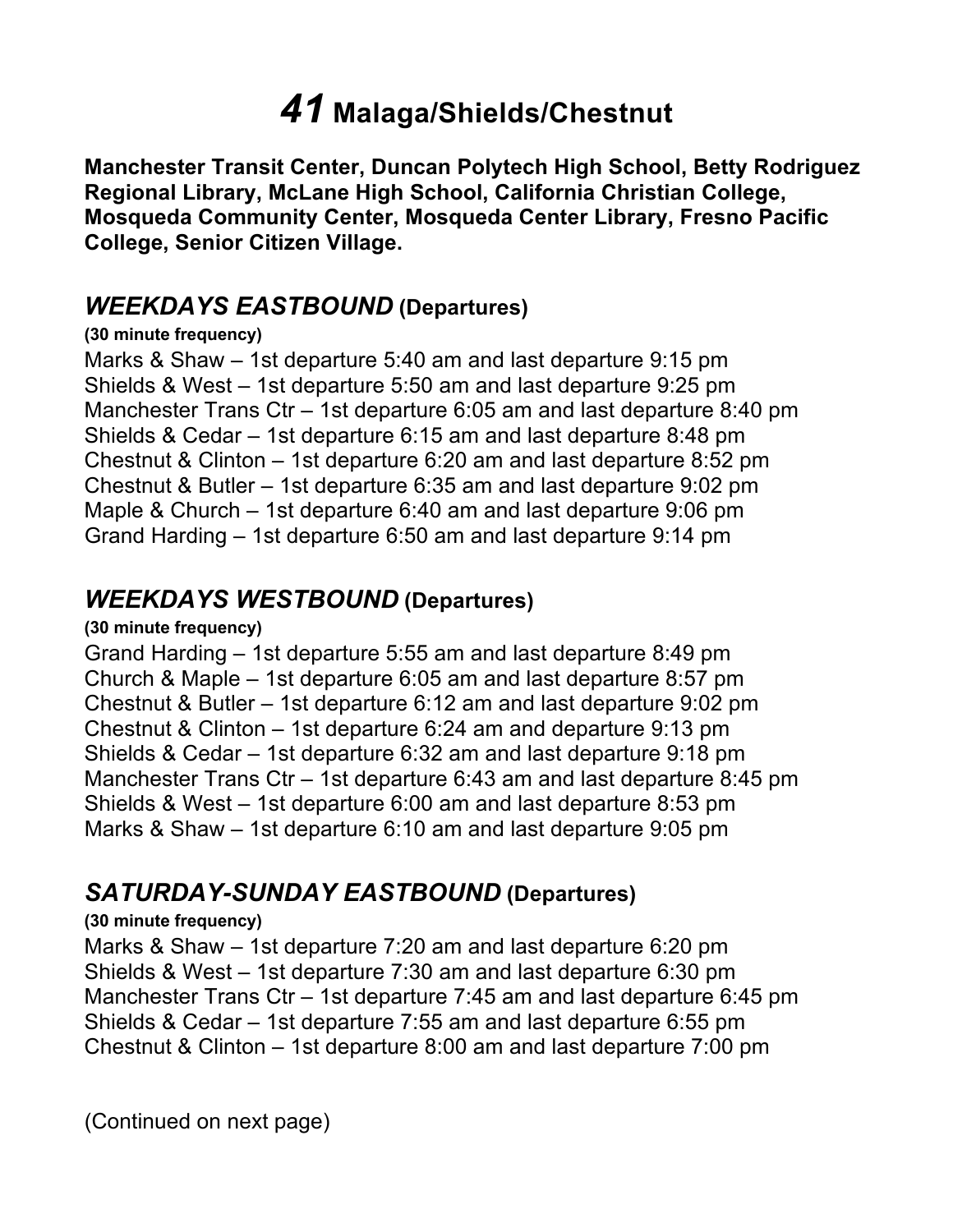# *41* **Malaga/Shields/Chestnut**

 **Manchester Transit Center, Duncan Polytech High School, Betty Rodriguez Mosqueda Community Center, Mosqueda Center Library, Fresno Pacific College, Senior Citizen Village. Regional Library, McLane High School, California Christian College,** 

## *WEEKDAYS EASTBOUND* **(Departures)**

#### **(30 minute frequency)**

 Marks & Shaw – 1st departure 5:40 am and last departure 9:15 pm Shields & West – 1st departure 5:50 am and last departure 9:25 pm Manchester Trans Ctr – 1st departure 6:05 am and last departure 8:40 pm Shields & Cedar – 1st departure 6:15 am and last departure 8:48 pm Chestnut & Clinton – 1st departure 6:20 am and last departure 8:52 pm Chestnut & Butler – 1st departure 6:35 am and last departure 9:02 pm Maple & Church – 1st departure 6:40 am and last departure 9:06 pm Grand Harding – 1st departure 6:50 am and last departure 9:14 pm

## *WEEKDAYS WESTBOUND* **(Departures)**

#### **(30 minute frequency)**

 Grand Harding – 1st departure 5:55 am and last departure 8:49 pm Church & Maple – 1st departure 6:05 am and last departure 8:57 pm Chestnut & Butler – 1st departure 6:12 am and last departure 9:02 pm Chestnut & Clinton – 1st departure 6:24 am and departure 9:13 pm Shields & Cedar – 1st departure 6:32 am and last departure 9:18 pm Manchester Trans Ctr – 1st departure 6:43 am and last departure 8:45 pm Shields & West – 1st departure 6:00 am and last departure 8:53 pm Marks & Shaw – 1st departure 6:10 am and last departure 9:05 pm

## *SATURDAY-SUNDAY EASTBOUND* **(Departures)**

### **(30 minute frequency)**

 Marks & Shaw – 1st departure 7:20 am and last departure 6:20 pm Shields & West – 1st departure 7:30 am and last departure 6:30 pm Manchester Trans Ctr – 1st departure 7:45 am and last departure 6:45 pm Shields & Cedar – 1st departure 7:55 am and last departure 6:55 pm Chestnut & Clinton – 1st departure 8:00 am and last departure 7:00 pm

(Continued on next page)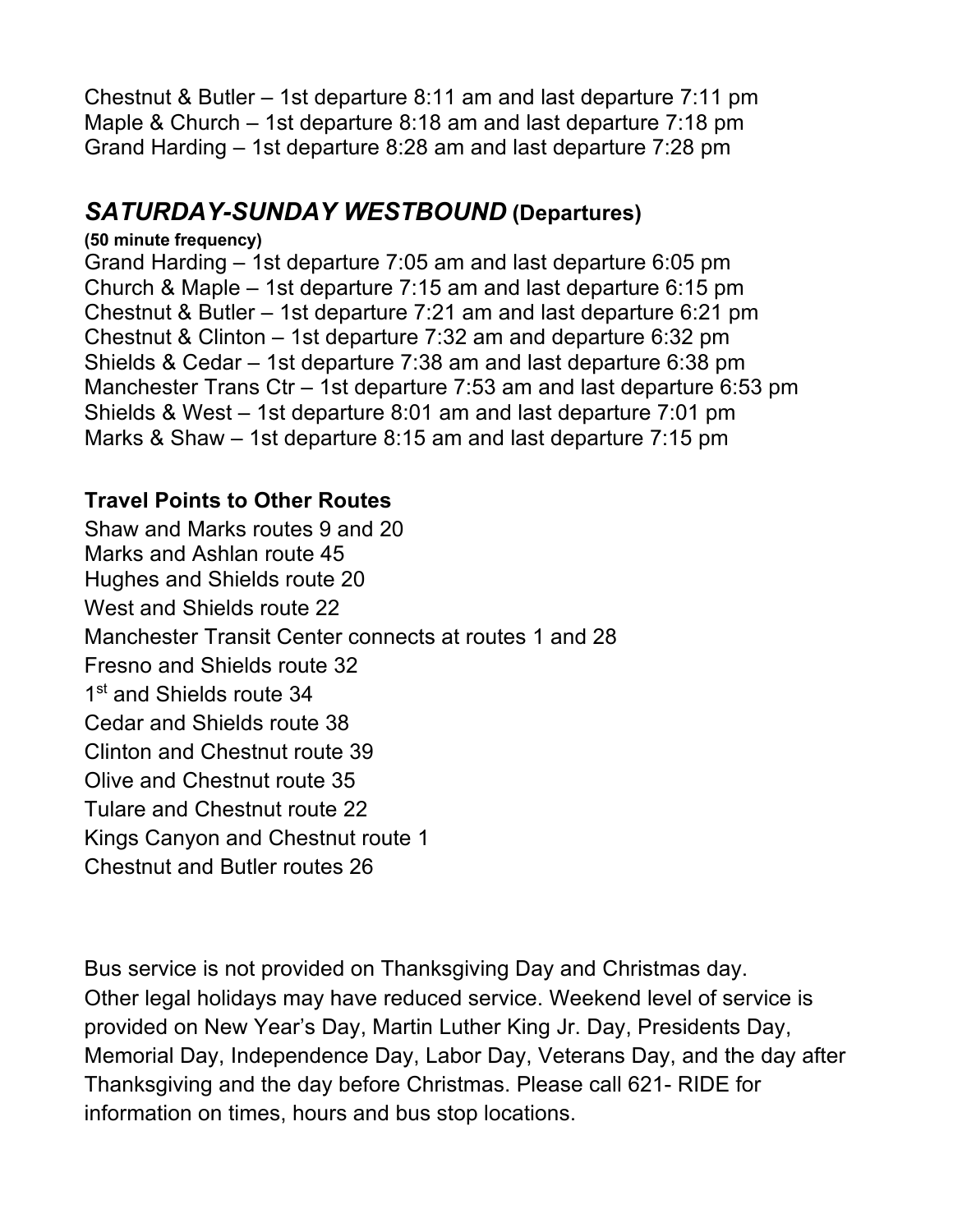Chestnut & Butler – 1st departure 8:11 am and last departure 7:11 pm Maple & Church – 1st departure 8:18 am and last departure 7:18 pm Grand Harding – 1st departure 8:28 am and last departure 7:28 pm

# *SATURDAY-SUNDAY WESTBOUND* **(Departures)**

#### **(50 minute frequency)**

 Grand Harding – 1st departure 7:05 am and last departure 6:05 pm Church & Maple – 1st departure 7:15 am and last departure 6:15 pm Chestnut & Butler – 1st departure 7:21 am and last departure 6:21 pm Chestnut & Clinton – 1st departure 7:32 am and departure 6:32 pm Shields & Cedar – 1st departure 7:38 am and last departure 6:38 pm Manchester Trans Ctr – 1st departure 7:53 am and last departure 6:53 pm Shields & West – 1st departure 8:01 am and last departure 7:01 pm Marks & Shaw – 1st departure 8:15 am and last departure 7:15 pm

## **Travel Points to Other Routes**

 Shaw and Marks routes 9 and 20 Marks and Ashlan route 45 Hughes and Shields route 20 West and Shields route 22 Manchester Transit Center connects at routes 1 and 28 Cedar and Shields route 38 Clinton and Chestnut route 39 Olive and Chestnut route 35 Kings Canyon and Chestnut route 1 Chestnut and Butler routes 26 Fresno and Shields route 32 1<sup>st</sup> and Shields route 34 Tulare and Chestnut route 22

 Bus service is not provided on Thanksgiving Day and Christmas day. Other legal holidays may have reduced service. Weekend level of service is provided on New Year's Day, Martin Luther King Jr. Day, Presidents Day, Memorial Day, Independence Day, Labor Day, Veterans Day, and the day after Thanksgiving and the day before Christmas. Please call 621- RIDE for information on times, hours and bus stop locations.